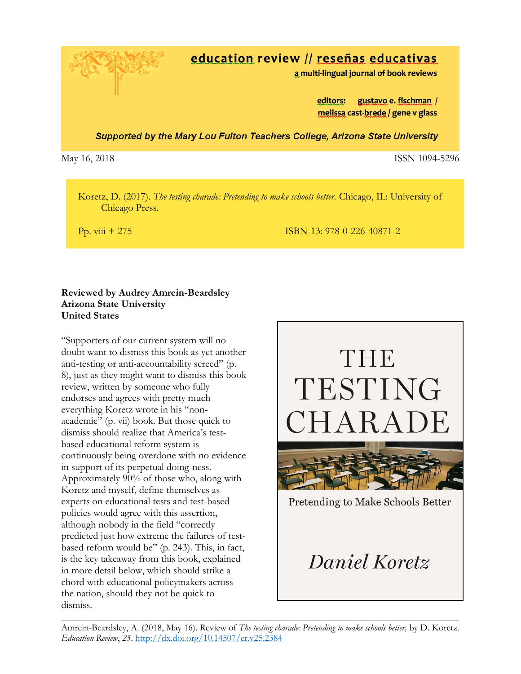

# education review // reseñas educativas

a multi-lingual journal of book reviews

editors: gustavo e. fischman / melissa cast-brede / gene v glass

Supported by the Mary Lou Fulton Teachers College, Arizona State University

May 16, 2018 **ISSN 1094-5296** 

 Koretz, D. (2017). *The testing charade: Pretending to make schools better.* Chicago, IL: University of Chicago Press.

Pp. viii + 275 ISBN-13: 978-0-226-40871-2

## **Reviewed by Audrey Amrein-Beardsley Arizona State University United States**

"Supporters of our current system will no doubt want to dismiss this book as yet another anti-testing or anti-accountability screed" (p. 8), just as they might want to dismiss this book review, written by someone who fully endorses and agrees with pretty much everything Koretz wrote in his "nonacademic" (p. vii) book. But those quick to dismiss should realize that America's testbased educational reform system is continuously being overdone with no evidence in support of its perpetual doing-ness. Approximately 90% of those who, along with Koretz and myself, define themselves as experts on educational tests and test-based policies would agree with this assertion, although nobody in the field "correctly predicted just how extreme the failures of testbased reform would be" (p. 243). This, in fact, is the key takeaway from this book, explained in more detail below, which should strike a chord with educational policymakers across the nation, should they not be quick to dismiss.



Amrein-Beardsley, A. (2018, May 16). Review of *The testing charade: Pretending to make schools better,* by D. Koretz. *Education Review*, *25*. <http://dx.doi.org/10.14507/er.v25.2384>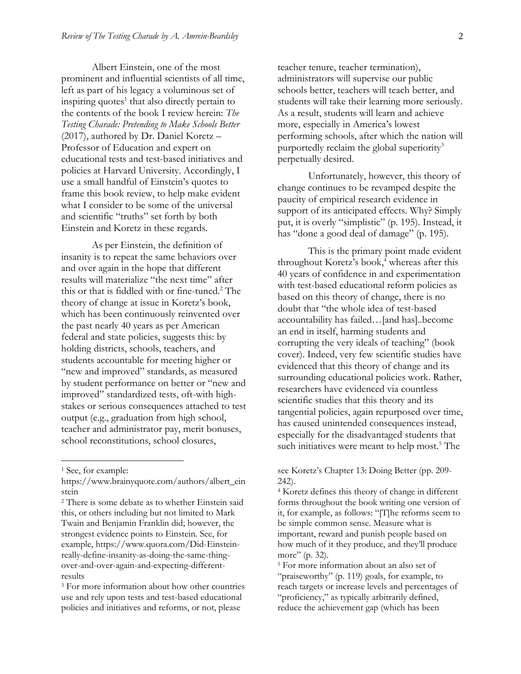Albert Einstein, one of the most prominent and influential scientists of all time, left as part of his legacy a voluminous set of inspiring quotes<sup>1</sup> that also directly pertain to the contents of the book I review herein: *The Testing Charade: Pretending to Make Schools Better*  (2017), authored by Dr. Daniel Koretz – Professor of Education and expert on educational tests and test-based initiatives and policies at Harvard University. Accordingly, I use a small handful of Einstein's quotes to frame this book review, to help make evident what I consider to be some of the universal and scientific "truths" set forth by both Einstein and Koretz in these regards.

As per Einstein, the definition of insanity is to repeat the same behaviors over and over again in the hope that different results will materialize "the next time" after this or that is fiddled with or fine-tuned.<sup>2</sup> The theory of change at issue in Koretz's book, which has been continuously reinvented over the past nearly 40 years as per American federal and state policies, suggests this: by holding districts, schools, teachers, and students accountable for meeting higher or "new and improved" standards, as measured by student performance on better or "new and improved" standardized tests, oft-with highstakes or serious consequences attached to test output (e.g., graduation from high school, teacher and administrator pay, merit bonuses, school reconstitutions, school closures,

 $\overline{\phantom{a}}$ 

teacher tenure, teacher termination), administrators will supervise our public schools better, teachers will teach better, and students will take their learning more seriously. As a result, students will learn and achieve more, especially in America's lowest performing schools, after which the nation will purportedly reclaim the global superiority<sup>3</sup> perpetually desired.

Unfortunately, however, this theory of change continues to be revamped despite the paucity of empirical research evidence in support of its anticipated effects. Why? Simply put, it is overly "simplistic" (p. 195). Instead, it has "done a good deal of damage" (p. 195).

This is the primary point made evident throughout Koretz's book,<sup>4</sup> whereas after this 40 years of confidence in and experimentation with test-based educational reform policies as based on this theory of change, there is no doubt that "the whole idea of test-based accountability has failed…[and has]..become an end in itself, harming students and corrupting the very ideals of teaching" (book cover). Indeed, very few scientific studies have evidenced that this theory of change and its surrounding educational policies work. Rather, researchers have evidenced via countless scientific studies that this theory and its tangential policies, again repurposed over time, has caused unintended consequences instead, especially for the disadvantaged students that such initiatives were meant to help most.<sup>5</sup> The

<sup>1</sup> See, for example:

https://www.brainyquote.com/authors/albert\_ein stein

<sup>2</sup> There is some debate as to whether Einstein said this, or others including but not limited to Mark Twain and Benjamin Franklin did; however, the strongest evidence points to Einstein. See, for example, https://www.quora.com/Did-Einsteinreally-define-insanity-as-doing-the-same-thingover-and-over-again-and-expecting-differentresults

<sup>&</sup>lt;sup>3</sup> For more information about how other countries use and rely upon tests and test-based educational policies and initiatives and reforms, or not, please

see Koretz's Chapter 13: Doing Better (pp. 209- 242).

<sup>4</sup> Koretz defines this theory of change in different forms throughout the book writing one version of it, for example, as follows: "[T]he reforms seem to be simple common sense. Measure what is important, reward and punish people based on how much of it they produce, and they'll produce more" (p. 32).

<sup>5</sup> For more information about an also set of "praiseworthy" (p. 119) goals, for example, to reach targets or increase levels and percentages of "proficiency," as typically arbitrarily defined, reduce the achievement gap (which has been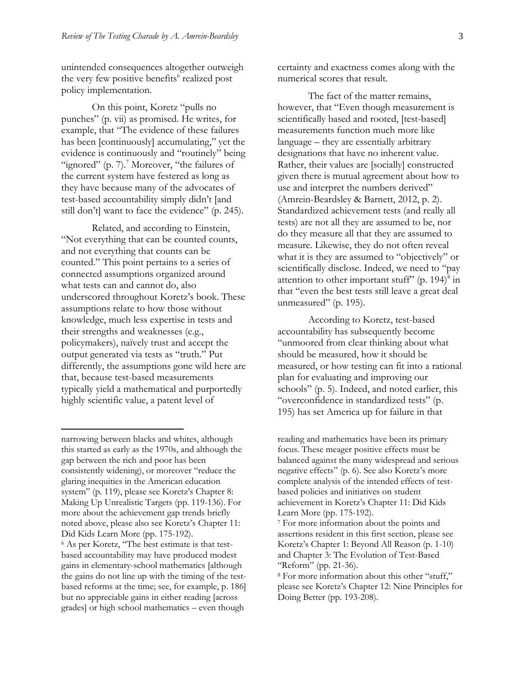unintended consequences altogether outweigh the very few positive benefits<sup>6</sup> realized post policy implementation.

On this point, Koretz "pulls no punches" (p. vii) as promised. He writes, for example, that "The evidence of these failures has been [continuously] accumulating," yet the evidence is continuously and "routinely" being "ignored"  $(p. 7)$ .<sup>7</sup> Moreover, "the failures of the current system have festered as long as they have because many of the advocates of test-based accountability simply didn't [and still don't] want to face the evidence" (p. 245).

Related, and according to Einstein, "Not everything that can be counted counts, and not everything that counts can be counted." This point pertains to a series of connected assumptions organized around what tests can and cannot do, also underscored throughout Koretz's book. These assumptions relate to how those without knowledge, much less expertise in tests and their strengths and weaknesses (e.g., policymakers), naïvely trust and accept the output generated via tests as "truth." Put differently, the assumptions gone wild here are that, because test-based measurements typically yield a mathematical and purportedly highly scientific value, a patent level of

narrowing between blacks and whites, although this started as early as the 1970s, and although the gap between the rich and poor has been consistently widening), or moreover "reduce the glaring inequities in the American education system" (p. 119), please see Koretz's Chapter 8: Making Up Unrealistic Targets (pp. 119-136). For more about the achievement gap trends briefly noted above, please also see Koretz's Chapter 11: Did Kids Learn More (pp. 175-192). <sup>6</sup> As per Koretz, "The best estimate is that testbased accountability may have produced modest

 $\overline{\phantom{a}}$ 

gains in elementary-school mathematics [although the gains do not line up with the timing of the testbased reforms at the time; see, for example, p. 186] but no appreciable gains in either reading [across grades] or high school mathematics – even though

certainty and exactness comes along with the numerical scores that result.

The fact of the matter remains, however, that "Even though measurement is scientifically based and rooted, [test-based] measurements function much more like language – they are essentially arbitrary designations that have no inherent value. Rather, their values are [socially] constructed given there is mutual agreement about how to use and interpret the numbers derived" (Amrein-Beardsley & Barnett, 2012, p. 2). Standardized achievement tests (and really all tests) are not all they are assumed to be, nor do they measure all that they are assumed to measure. Likewise, they do not often reveal what it is they are assumed to "objectively" or scientifically disclose. Indeed, we need to "pay attention to other important stuff" (p. 194) $8$  in that "even the best tests still leave a great deal unmeasured" (p. 195).

According to Koretz, test-based accountability has subsequently become "unmoored from clear thinking about what should be measured, how it should be measured, or how testing can fit into a rational plan for evaluating and improving our schools" (p. 5). Indeed, and noted earlier, this "overconfidence in standardized tests" (p. 195) has set America up for failure in that

reading and mathematics have been its primary focus. These meager positive effects must be balanced against the many widespread and serious negative effects" (p. 6). See also Koretz's more complete analysis of the intended effects of testbased policies and initiatives on student achievement in Koretz's Chapter 11: Did Kids Learn More (pp. 175-192).

<sup>7</sup> For more information about the points and assertions resident in this first section, please see Koretz's Chapter 1: Beyond All Reason (p. 1-10) and Chapter 3: The Evolution of Test-Based "Reform" (pp. 21-36).

<sup>8</sup> For more information about this other "stuff," please see Koretz's Chapter 12: Nine Principles for Doing Better (pp. 193-208).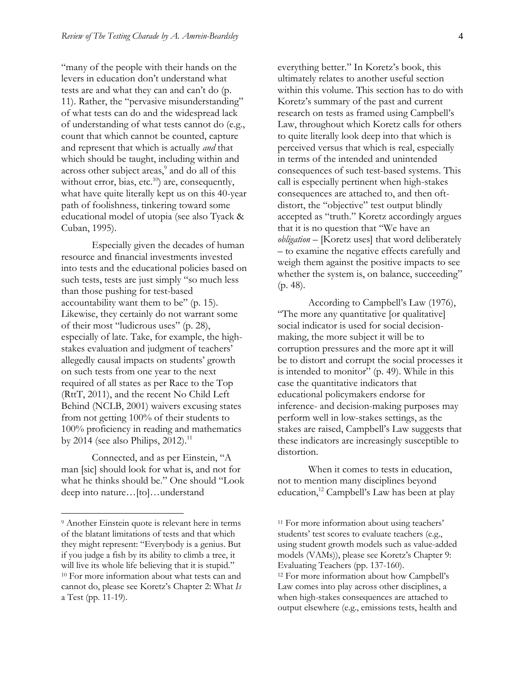"many of the people with their hands on the levers in education don't understand what tests are and what they can and can't do (p. 11). Rather, the "pervasive misunderstanding" of what tests can do and the widespread lack of understanding of what tests cannot do (e.g., count that which cannot be counted, capture and represent that which is actually *and* that which should be taught, including within and across other subject areas,<sup>9</sup> and do all of this without error, bias, etc.<sup>10</sup>) are, consequently, what have quite literally kept us on this 40-year path of foolishness, tinkering toward some educational model of utopia (see also Tyack & Cuban, 1995).

Especially given the decades of human resource and financial investments invested into tests and the educational policies based on such tests, tests are just simply "so much less than those pushing for test-based accountability want them to be" (p. 15). Likewise, they certainly do not warrant some of their most "ludicrous uses" (p. 28), especially of late. Take, for example, the highstakes evaluation and judgment of teachers' allegedly causal impacts on students' growth on such tests from one year to the next required of all states as per Race to the Top (RttT, 2011), and the recent No Child Left Behind (NCLB, 2001) waivers excusing states from not getting 100% of their students to 100% proficiency in reading and mathematics by 2014 (see also Philips, 2012).<sup>11</sup>

Connected, and as per Einstein, "A man [sic] should look for what is, and not for what he thinks should be." One should "Look deep into nature…[to]…understand

 $\overline{\phantom{a}}$ 

everything better." In Koretz's book, this ultimately relates to another useful section within this volume. This section has to do with Koretz's summary of the past and current research on tests as framed using Campbell's Law, throughout which Koretz calls for others to quite literally look deep into that which is perceived versus that which is real, especially in terms of the intended and unintended consequences of such test-based systems. This call is especially pertinent when high-stakes consequences are attached to, and then oftdistort, the "objective" test output blindly accepted as "truth." Koretz accordingly argues that it is no question that "We have an *obligation* – [Koretz uses] that word deliberately – to examine the negative effects carefully and weigh them against the positive impacts to see whether the system is, on balance, succeeding" (p. 48).

According to Campbell's Law (1976), "The more any quantitative [or qualitative] social indicator is used for social decisionmaking, the more subject it will be to corruption pressures and the more apt it will be to distort and corrupt the social processes it is intended to monitor" (p. 49). While in this case the quantitative indicators that educational policymakers endorse for inference- and decision-making purposes may perform well in low-stakes settings, as the stakes are raised, Campbell's Law suggests that these indicators are increasingly susceptible to distortion.

When it comes to tests in education, not to mention many disciplines beyond education,<sup>12</sup> Campbell's Law has been at play

<sup>9</sup> Another Einstein quote is relevant here in terms of the blatant limitations of tests and that which they might represent: "Everybody is a genius. But if you judge a fish by its ability to climb a tree, it will live its whole life believing that it is stupid." <sup>10</sup> For more information about what tests can and cannot do, please see Koretz's Chapter 2: What *Is*  a Test (pp. 11-19).

<sup>&</sup>lt;sup>11</sup> For more information about using teachers' students' test scores to evaluate teachers (e.g., using student growth models such as value-added models (VAMs)), please see Koretz's Chapter 9: Evaluating Teachers (pp. 137-160). <sup>12</sup> For more information about how Campbell's Law comes into play across other disciplines, a when high-stakes consequences are attached to output elsewhere (e.g., emissions tests, health and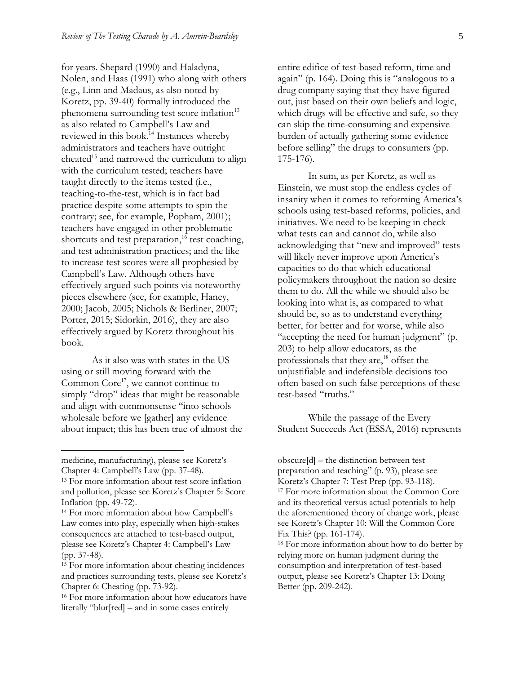for years. Shepard (1990) and Haladyna, Nolen, and Haas (1991) who along with others (e.g., Linn and Madaus, as also noted by Koretz, pp. 39-40) formally introduced the phenomena surrounding test score inflation<sup>13</sup> as also related to Campbell's Law and reviewed in this book.<sup>14</sup> Instances whereby administrators and teachers have outright cheated<sup>15</sup> and narrowed the curriculum to align with the curriculum tested; teachers have taught directly to the items tested (i.e., teaching-to-the-test, which is in fact bad practice despite some attempts to spin the contrary; see, for example, Popham, 2001); teachers have engaged in other problematic shortcuts and test preparation,<sup>16</sup> test coaching, and test administration practices; and the like to increase test scores were all prophesied by Campbell's Law. Although others have effectively argued such points via noteworthy pieces elsewhere (see, for example, Haney, 2000; Jacob, 2005; Nichols & Berliner, 2007; Porter, 2015; Sidorkin, 2016), they are also effectively argued by Koretz throughout his book.

As it also was with states in the US using or still moving forward with the Common  $Core^{17}$ , we cannot continue to simply "drop" ideas that might be reasonable and align with commonsense "into schools wholesale before we [gather] any evidence about impact; this has been true of almost the

 $\overline{\phantom{a}}$ 

entire edifice of test-based reform, time and again" (p. 164). Doing this is "analogous to a drug company saying that they have figured out, just based on their own beliefs and logic, which drugs will be effective and safe, so they can skip the time-consuming and expensive burden of actually gathering some evidence before selling" the drugs to consumers (pp. 175-176).

In sum, as per Koretz, as well as Einstein, we must stop the endless cycles of insanity when it comes to reforming America's schools using test-based reforms, policies, and initiatives. We need to be keeping in check what tests can and cannot do, while also acknowledging that "new and improved" tests will likely never improve upon America's capacities to do that which educational policymakers throughout the nation so desire them to do. All the while we should also be looking into what is, as compared to what should be, so as to understand everything better, for better and for worse, while also "accepting the need for human judgment" (p. 203) to help allow educators, as the professionals that they are,<sup>18</sup> offset the unjustifiable and indefensible decisions too often based on such false perceptions of these test-based "truths."

While the passage of the Every Student Succeeds Act (ESSA, 2016) represents

medicine, manufacturing), please see Koretz's Chapter 4: Campbell's Law (pp. 37-48).

<sup>13</sup> For more information about test score inflation and pollution, please see Koretz's Chapter 5: Score Inflation (pp. 49-72).

<sup>14</sup> For more information about how Campbell's Law comes into play, especially when high-stakes consequences are attached to test-based output, please see Koretz's Chapter 4: Campbell's Law (pp. 37-48).

<sup>15</sup> For more information about cheating incidences and practices surrounding tests, please see Koretz's Chapter 6: Cheating (pp. 73-92).

<sup>&</sup>lt;sup>16</sup> For more information about how educators have literally "blur[red] – and in some cases entirely

obscure[d] – the distinction between test preparation and teaching" (p. 93), please see Koretz's Chapter 7: Test Prep (pp. 93-118). <sup>17</sup> For more information about the Common Core and its theoretical versus actual potentials to help the aforementioned theory of change work, please see Koretz's Chapter 10: Will the Common Core Fix This? (pp. 161-174).

<sup>18</sup> For more information about how to do better by relying more on human judgment during the consumption and interpretation of test-based output, please see Koretz's Chapter 13: Doing Better (pp. 209-242).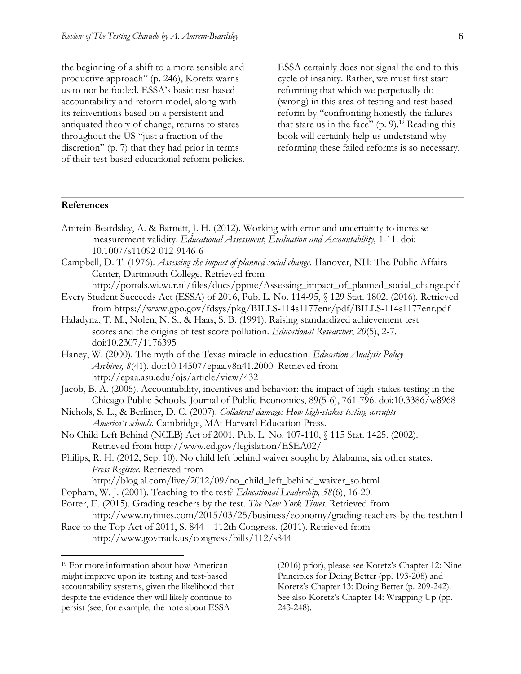the beginning of a shift to a more sensible and productive approach" (p. 246), Koretz warns us to not be fooled. ESSA's basic test-based accountability and reform model, along with its reinventions based on a persistent and antiquated theory of change, returns to states throughout the US "just a fraction of the discretion" (p. 7) that they had prior in terms of their test-based educational reform policies. ESSA certainly does not signal the end to this cycle of insanity. Rather, we must first start reforming that which we perpetually do (wrong) in this area of testing and test-based reform by "confronting honestly the failures that stare us in the face"  $(p. 9)$ .<sup>19</sup> Reading this book will certainly help us understand why reforming these failed reforms is so necessary.

#### **References**

- Amrein-Beardsley, A. & Barnett, J. H. (2012). Working with error and uncertainty to increase measurement validity. *Educational Assessment, Evaluation and Accountability,* 1-11*.* doi: 10.1007/s11092-012-9146-6
- Campbell, D. T. (1976). *Assessing the impact of planned social change*. Hanover, NH: The Public Affairs Center, Dartmouth College. Retrieved from

http://portals.wi.wur.nl/files/docs/ppme/Assessing\_impact\_of\_planned\_social\_change.pdf Every Student Succeeds Act (ESSA) of 2016, Pub. L. No. 114-95, § 129 Stat. 1802. (2016). Retrieved

- from https://www.gpo.gov/fdsys/pkg/BILLS-114s1177enr/pdf/BILLS-114s1177enr.pdf Haladyna, T. M., Nolen, N. S., & Haas, S. B. (1991). Raising standardized achievement test scores and the origins of test score pollution. *Educational Researcher*, *20*(5), 2-7. doi:10.2307/1176395
- Haney, W. (2000). The myth of the Texas miracle in education. *Education Analysis Policy Archives, 8*(41). doi:10.14507/epaa.v8n41.2000 Retrieved from http://epaa.asu.edu/ojs/article/view/432
- Jacob, B. A. (2005). Accountability, incentives and behavior: the impact of high-stakes testing in the Chicago Public Schools. Journal of Public Economics, 89(5-6), 761-796. doi:10.3386/w8968
- Nichols, S. L., & Berliner, D. C. (2007). *Collateral damage: How high-stakes testing corrupts America's schools*. Cambridge, MA: Harvard Education Press.
- No Child Left Behind (NCLB) Act of 2001, Pub. L. No. 107-110, § 115 Stat. 1425. (2002). Retrieved from http://www.ed.gov/legislation/ESEA02/
- Philips, R. H. (2012, Sep. 10). No child left behind waiver sought by Alabama, six other states. *Press Register.* Retrieved from
	- http://blog.al.com/live/2012/09/no\_child\_left\_behind\_waiver\_so.html
- Popham, W. J. (2001). Teaching to the test? *Educational Leadership, 58*(6), 16-20.
- Porter, E. (2015). Grading teachers by the test. *The New York Times*. Retrieved from http://www.nytimes.com/2015/03/25/business/economy/grading-teachers-by-the-test.html
- Race to the Top Act of 2011, S. 844—112th Congress. (2011). Retrieved from http://www.govtrack.us/congress/bills/112/s844

 $\overline{\phantom{a}}$ 

(2016) prior), please see Koretz's Chapter 12: Nine Principles for Doing Better (pp. 193-208) and Koretz's Chapter 13: Doing Better (p. 209-242). See also Koretz's Chapter 14: Wrapping Up (pp. 243-248).

<sup>19</sup> For more information about how American might improve upon its testing and test-based accountability systems, given the likelihood that despite the evidence they will likely continue to persist (see, for example, the note about ESSA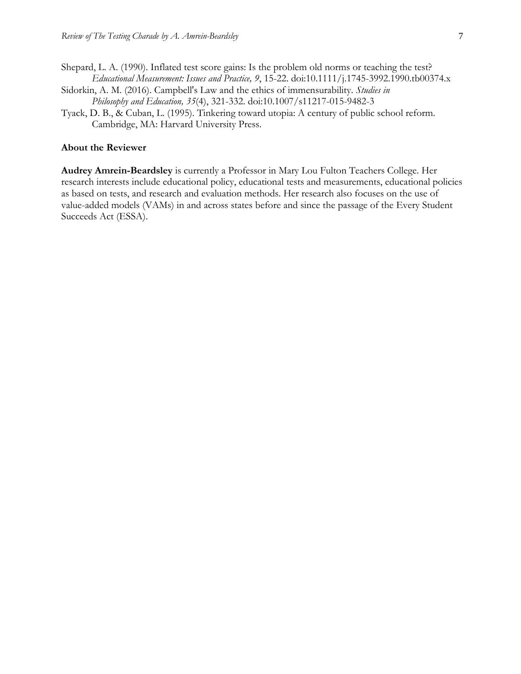- Shepard, L. A. (1990). Inflated test score gains: Is the problem old norms or teaching the test? *Educational Measurement: Issues and Practice, 9*, 15-22. doi:10.1111/j.1745-3992.1990.tb00374.x
- Sidorkin, A. M. (2016). Campbell's Law and the ethics of immensurability. *Studies in Philosophy and Education, 35*(4), 321-332. doi:10.1007/s11217-015-9482-3
- Tyack, D. B., & Cuban, L. (1995). Tinkering toward utopia: A century of public school reform. Cambridge, MA: Harvard University Press.

#### **About the Reviewer**

**Audrey Amrein-Beardsley** is currently a Professor in Mary Lou Fulton Teachers College. Her research interests include educational policy, educational tests and measurements, educational policies as based on tests, and research and evaluation methods. Her research also focuses on the use of value-added models (VAMs) in and across states before and since the passage of the Every Student Succeeds Act (ESSA).